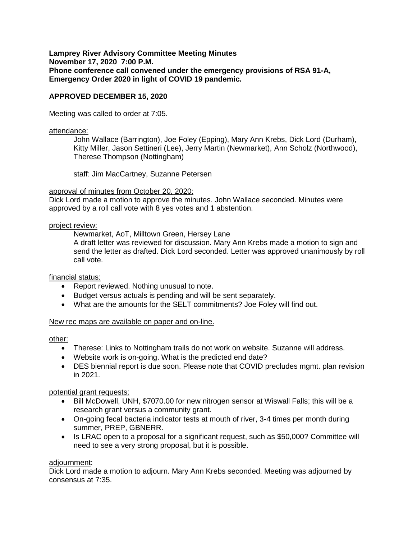**Lamprey River Advisory Committee Meeting Minutes November 17, 2020 7:00 P.M. Phone conference call convened under the emergency provisions of RSA 91-A, Emergency Order 2020 in light of COVID 19 pandemic.** 

# **APPROVED DECEMBER 15, 2020**

Meeting was called to order at 7:05.

#### attendance:

John Wallace (Barrington), Joe Foley (Epping), Mary Ann Krebs, Dick Lord (Durham), Kitty Miller, Jason Settineri (Lee), Jerry Martin (Newmarket), Ann Scholz (Northwood), Therese Thompson (Nottingham)

staff: Jim MacCartney, Suzanne Petersen

#### approval of minutes from October 20, 2020:

Dick Lord made a motion to approve the minutes. John Wallace seconded. Minutes were approved by a roll call vote with 8 yes votes and 1 abstention.

#### project review:

Newmarket, AoT, Milltown Green, Hersey Lane

A draft letter was reviewed for discussion. Mary Ann Krebs made a motion to sign and send the letter as drafted. Dick Lord seconded. Letter was approved unanimously by roll call vote.

# financial status:

- Report reviewed. Nothing unusual to note.
- Budget versus actuals is pending and will be sent separately.
- What are the amounts for the SELT commitments? Joe Foley will find out.

# New rec maps are available on paper and on-line.

#### other:

- Therese: Links to Nottingham trails do not work on website. Suzanne will address.
- Website work is on-going. What is the predicted end date?
- DES biennial report is due soon. Please note that COVID precludes mgmt. plan revision in 2021.

potential grant requests:

- Bill McDowell, UNH, \$7070.00 for new nitrogen sensor at Wiswall Falls; this will be a research grant versus a community grant.
- On-going fecal bacteria indicator tests at mouth of river, 3-4 times per month during summer, PREP, GBNERR.
- Is LRAC open to a proposal for a significant request, such as \$50,000? Committee will need to see a very strong proposal, but it is possible.

# adjournment:

Dick Lord made a motion to adjourn. Mary Ann Krebs seconded. Meeting was adjourned by consensus at 7:35.